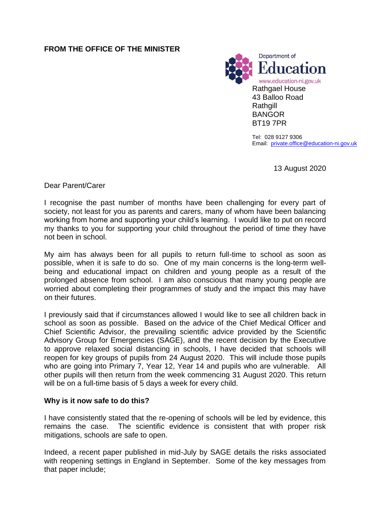## **FROM THE OFFICE OF THE MINISTER**



Tel: 028 9127 9306 Email: [private.office@education-ni.gov.uk](mailto:derek.baker@education-ni.gov.uk)

13 August 2020

Dear Parent/Carer

I recognise the past number of months have been challenging for every part of society, not least for you as parents and carers, many of whom have been balancing working from home and supporting your child's learning. I would like to put on record my thanks to you for supporting your child throughout the period of time they have not been in school.

My aim has always been for all pupils to return full-time to school as soon as possible, when it is safe to do so. One of my main concerns is the long-term wellbeing and educational impact on children and young people as a result of the prolonged absence from school. I am also conscious that many young people are worried about completing their programmes of study and the impact this may have on their futures.

I previously said that if circumstances allowed I would like to see all children back in school as soon as possible. Based on the advice of the Chief Medical Officer and Chief Scientific Advisor, the prevailing scientific advice provided by the Scientific Advisory Group for Emergencies (SAGE), and the recent decision by the Executive to approve relaxed social distancing in schools, I have decided that schools will reopen for key groups of pupils from 24 August 2020. This will include those pupils who are going into Primary 7, Year 12, Year 14 and pupils who are vulnerable. All other pupils will then return from the week commencing 31 August 2020. This return will be on a full-time basis of 5 days a week for every child.

### **Why is it now safe to do this?**

I have consistently stated that the re-opening of schools will be led by evidence, this remains the case. The scientific evidence is consistent that with proper risk mitigations, schools are safe to open.

Indeed, a recent paper published in mid-July by SAGE details the risks associated with reopening settings in England in September. Some of the key messages from that paper include;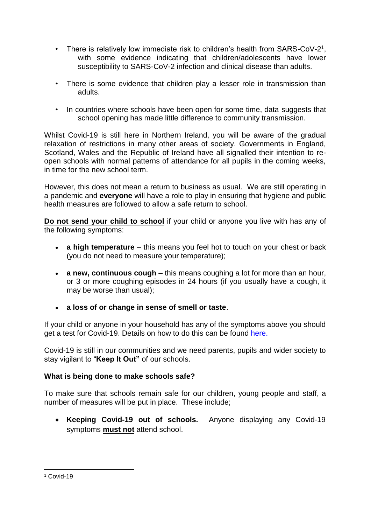- There is relatively low immediate risk to children's health from SARS-CoV-2<sup>1</sup>, with some evidence indicating that children/adolescents have lower susceptibility to SARS-CoV-2 infection and clinical disease than adults.
- There is some evidence that children play a lesser role in transmission than adults.
- In countries where schools have been open for some time, data suggests that school opening has made little difference to community transmission.

Whilst Covid-19 is still here in Northern Ireland, you will be aware of the gradual relaxation of restrictions in many other areas of society. Governments in England, Scotland, Wales and the Republic of Ireland have all signalled their intention to reopen schools with normal patterns of attendance for all pupils in the coming weeks, in time for the new school term.

However, this does not mean a return to business as usual. We are still operating in a pandemic and **everyone** will have a role to play in ensuring that hygiene and public health measures are followed to allow a safe return to school.

**Do not send your child to school** if your child or anyone you live with has any of the following symptoms:

- **a high temperature** this means you feel hot to touch on your chest or back (you do not need to measure your temperature);
- **a new, continuous cough** this means coughing a lot for more than an hour, or 3 or more coughing episodes in 24 hours (if you usually have a cough, it may be worse than usual);
- **a loss of or change in sense of smell or taste**.

If your child or anyone in your household has any of the symptoms above you should get a test for Covid-19. Details on how to do this can be found [here.](https://www.nidirect.gov.uk/campaigns/coronavirus-covid-19)

Covid-19 is still in our communities and we need parents, pupils and wider society to stay vigilant to "**Keep It Out"** of our schools.

# **What is being done to make schools safe?**

To make sure that schools remain safe for our children, young people and staff, a number of measures will be put in place. These include;

 **Keeping Covid-19 out of schools.** Anyone displaying any Covid-19 symptoms **must not** attend school.

 $\overline{a}$ <sup>1</sup> Covid-19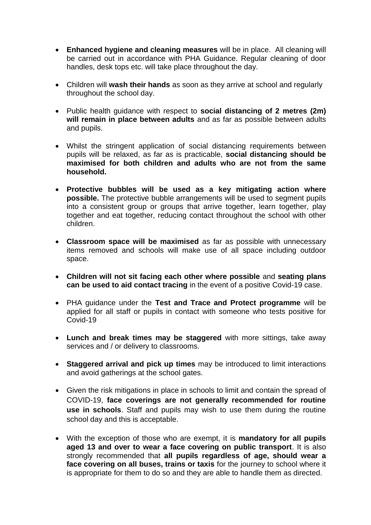- **Enhanced hygiene and cleaning measures** will be in place. All cleaning will be carried out in accordance with PHA Guidance. Regular cleaning of door handles, desk tops etc. will take place throughout the day.
- Children will **wash their hands** as soon as they arrive at school and regularly throughout the school day.
- Public health guidance with respect to **social distancing of 2 metres (2m)**  will remain in place between adults and as far as possible between adults and pupils.
- Whilst the stringent application of social distancing requirements between pupils will be relaxed, as far as is practicable, **social distancing should be maximised for both children and adults who are not from the same household.**
- **Protective bubbles will be used as a key mitigating action where possible.** The protective bubble arrangements will be used to segment pupils into a consistent group or groups that arrive together, learn together, play together and eat together, reducing contact throughout the school with other children.
- **Classroom space will be maximised** as far as possible with unnecessary items removed and schools will make use of all space including outdoor space.
- **Children will not sit facing each other where possible** and **seating plans can be used to aid contact tracing** in the event of a positive Covid-19 case.
- PHA guidance under the **Test and Trace and Protect programme** will be applied for all staff or pupils in contact with someone who tests positive for Covid-19
- **Lunch and break times may be staggered** with more sittings, take away services and / or delivery to classrooms.
- **Staggered arrival and pick up times** may be introduced to limit interactions and avoid gatherings at the school gates.
- Given the risk mitigations in place in schools to limit and contain the spread of COVID-19, **face coverings are not generally recommended for routine use in schools**. Staff and pupils may wish to use them during the routine school day and this is acceptable.
- With the exception of those who are exempt, it is **mandatory for all pupils aged 13 and over to wear a face covering on public transport**. It is also strongly recommended that **all pupils regardless of age, should wear a face covering on all buses, trains or taxis** for the journey to school where it is appropriate for them to do so and they are able to handle them as directed.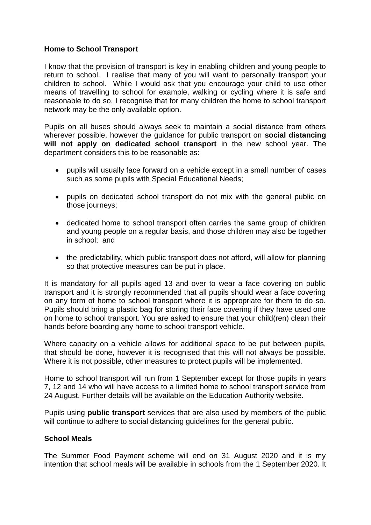### **Home to School Transport**

I know that the provision of transport is key in enabling children and young people to return to school. I realise that many of you will want to personally transport your children to school. While I would ask that you encourage your child to use other means of travelling to school for example, walking or cycling where it is safe and reasonable to do so, I recognise that for many children the home to school transport network may be the only available option.

Pupils on all buses should always seek to maintain a social distance from others wherever possible, however the guidance for public transport on **social distancing will not apply on dedicated school transport** in the new school year. The department considers this to be reasonable as:

- pupils will usually face forward on a vehicle except in a small number of cases such as some pupils with Special Educational Needs;
- pupils on dedicated school transport do not mix with the general public on those journeys;
- dedicated home to school transport often carries the same group of children and young people on a regular basis, and those children may also be together in school; and
- the predictability, which public transport does not afford, will allow for planning so that protective measures can be put in place.

It is mandatory for all pupils aged 13 and over to wear a face covering on public transport and it is strongly recommended that all pupils should wear a face covering on any form of home to school transport where it is appropriate for them to do so. Pupils should bring a plastic bag for storing their face covering if they have used one on home to school transport. You are asked to ensure that your child(ren) clean their hands before boarding any home to school transport vehicle.

Where capacity on a vehicle allows for additional space to be put between pupils, that should be done, however it is recognised that this will not always be possible. Where it is not possible, other measures to protect pupils will be implemented.

Home to school transport will run from 1 September except for those pupils in years 7, 12 and 14 who will have access to a limited home to school transport service from 24 August. Further details will be available on the Education Authority website.

Pupils using **public transport** services that are also used by members of the public will continue to adhere to social distancing guidelines for the general public.

#### **School Meals**

The Summer Food Payment scheme will end on 31 August 2020 and it is my intention that school meals will be available in schools from the 1 September 2020. It